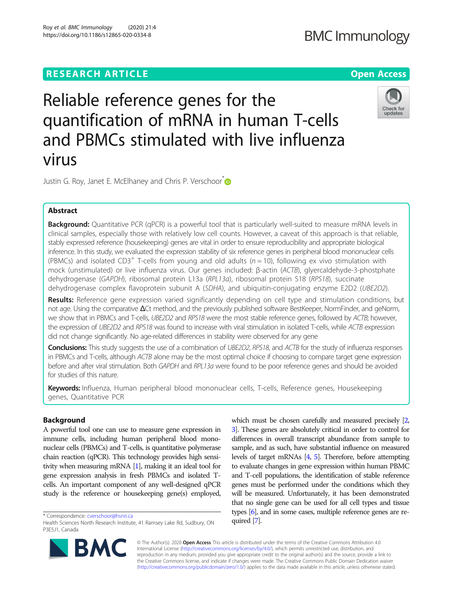# **RESEARCH ARTICLE Example 2014 12:30 The Contract of Contract ACCESS**

# **BMC Immunology**

# Reliable reference genes for the quantification of mRNA in human T-cells and PBMCs stimulated with live influenza virus



Justin G. Roy, Janet E. McElhaney and Chris P. Verschoor<sup>[\\*](http://orcid.org/0000-0001-6190-2655)</sup>

# Abstract

Background: Quantitative PCR (qPCR) is a powerful tool that is particularly well-suited to measure mRNA levels in clinical samples, especially those with relatively low cell counts. However, a caveat of this approach is that reliable, stably expressed reference (housekeeping) genes are vital in order to ensure reproducibility and appropriate biological inference. In this study, we evaluated the expression stability of six reference genes in peripheral blood mononuclear cells (PBMCs) and isolated CD3<sup>+</sup> T-cells from young and old adults ( $n = 10$ ), following ex vivo stimulation with mock (unstimulated) or live influenza virus. Our genes included: β-actin (ACTB), glyercaldehyde-3-phostphate dehydrogenase (GAPDH), ribosomal protein L13a (RPL13a), ribosomal protein S18 (RPS18), succinate dehydrogenase complex flavoprotein subunit A (SDHA), and ubiquitin-conjugating enzyme E2D2 (UBE2D2).

Results: Reference gene expression varied significantly depending on cell type and stimulation conditions, but not age. Using the comparative ΔCt method, and the previously published software BestKeeper, NormFinder, and geNorm, we show that in PBMCs and T-cells, UBE2D2 and RPS18 were the most stable reference genes, followed by ACTB; however, the expression of UBE2D2 and RPS18 was found to increase with viral stimulation in isolated T-cells, while ACTB expression did not change significantly. No age-related differences in stability were observed for any gene

Conclusions: This study suggests the use of a combination of UBE2D2, RPS18, and ACTB for the study of influenza responses in PBMCs and T-cells, although ACTB alone may be the most optimal choice if choosing to compare target gene expression before and after viral stimulation. Both GAPDH and RPL13a were found to be poor reference genes and should be avoided for studies of this nature.

Keywords: Influenza, Human peripheral blood mononuclear cells, T-cells, Reference genes, Housekeeping genes, Quantitative PCR

# Background

A powerful tool one can use to measure gene expression in immune cells, including human peripheral blood mononuclear cells (PBMCs) and T-cells, is quantitative polymerase chain reaction (qPCR). This technology provides high sensitivity when measuring mRNA [\[1](#page-5-0)], making it an ideal tool for gene expression analysis in fresh PBMCs and isolated Tcells. An important component of any well-designed qPCR study is the reference or housekeeping gene(s) employed,

\* Correspondence: [cverschoor@hsnri.ca](mailto:cverschoor@hsnri.ca)

Health Sciences North Research Institute, 41 Ramsey Lake Rd, Sudbury, ON P3E5J1, Canada



which must be chosen carefully and measured precisely [\[2](#page-5-0), [3](#page-5-0)]. These genes are absolutely critical in order to control for differences in overall transcript abundance from sample to sample, and as such, have substantial influence on measured levels of target mRNAs [\[4,](#page-5-0) [5\]](#page-5-0). Therefore, before attempting to evaluate changes in gene expression within human PBMC and T-cell populations, the identification of stable reference genes must be performed under the conditions which they will be measured. Unfortunately, it has been demonstrated that no single gene can be used for all cell types and tissue types [\[6\]](#page-5-0), and in some cases, multiple reference genes are required [\[7](#page-5-0)].

© The Author(s). 2020 Open Access This article is distributed under the terms of the Creative Commons Attribution 4.0 International License [\(http://creativecommons.org/licenses/by/4.0/](http://creativecommons.org/licenses/by/4.0/)), which permits unrestricted use, distribution, and reproduction in any medium, provided you give appropriate credit to the original author(s) and the source, provide a link to the Creative Commons license, and indicate if changes were made. The Creative Commons Public Domain Dedication waiver [\(http://creativecommons.org/publicdomain/zero/1.0/](http://creativecommons.org/publicdomain/zero/1.0/)) applies to the data made available in this article, unless otherwise stated.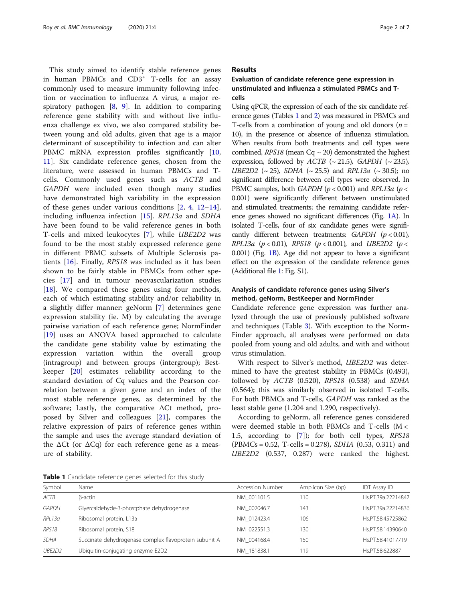<span id="page-1-0"></span>This study aimed to identify stable reference genes in human PBMCs and CD3<sup>+</sup> T-cells for an assay commonly used to measure immunity following infection or vaccination to influenza A virus, a major respiratory pathogen [[8](#page-5-0), [9](#page-5-0)]. In addition to comparing reference gene stability with and without live influenza challenge ex vivo, we also compared stability between young and old adults, given that age is a major determinant of susceptibility to infection and can alter PBMC mRNA expression profiles significantly [\[10](#page-5-0), [11\]](#page-5-0). Six candidate reference genes, chosen from the literature, were assessed in human PBMCs and Tcells. Commonly used genes such as ACTB and GAPDH were included even though many studies have demonstrated high variability in the expression of these genes under various conditions [\[2](#page-5-0), [4,](#page-5-0) [12](#page-5-0)–[14](#page-5-0)], including influenza infection [[15\]](#page-5-0). RPL13a and SDHA have been found to be valid reference genes in both T-cells and mixed leukocytes [[7](#page-5-0)], while UBE2D2 was found to be the most stably expressed reference gene in different PBMC subsets of Multiple Sclerosis patients [[16](#page-5-0)]. Finally, RPS18 was included as it has been shown to be fairly stable in PBMCs from other species [\[17](#page-5-0)] and in tumour neovascularization studies [[18\]](#page-5-0). We compared these genes using four methods, each of which estimating stability and/or reliability in a slightly differ manner: geNorm [[7\]](#page-5-0) determines gene expression stability (ie. M) by calculating the average pairwise variation of each reference gene; NormFinder [[19\]](#page-5-0) uses an ANOVA based approached to calculate the candidate gene stability value by estimating the expression variation within the overall group (intragroup) and between groups (intergroup); Bestkeeper [[20\]](#page-5-0) estimates reliability according to the standard deviation of Cq values and the Pearson correlation between a given gene and an index of the most stable reference genes, as determined by the software; Lastly, the comparative ΔCt method, proposed by Silver and colleagues [[21\]](#page-5-0), compares the relative expression of pairs of reference genes within the sample and uses the average standard deviation of the  $ΔCt$  (or  $ΔCq$ ) for each reference gene as a measure of stability.

# Results

# Evaluation of candidate reference gene expression in unstimulated and influenza a stimulated PBMCs and Tcells

Using qPCR, the expression of each of the six candidate reference genes (Tables 1 and [2\)](#page-2-0) was measured in PBMCs and T-cells from a combination of young and old donors ( $n =$ 10), in the presence or absence of influenza stimulation. When results from both treatments and cell types were combined,  $RPS18$  (mean  $Cq \sim 20$ ) demonstrated the highest expression, followed by  $ACTB$  (~21.5),  $GAPDH$  (~23.5), *UBE2D2* ( $\sim$  25), *SDHA* ( $\sim$  25.5) and *RPL13a* ( $\sim$  30.5); no significant difference between cell types were observed. In PBMC samples, both GAPDH ( $p < 0.001$ ) and RPL13a ( $p <$ 0.001) were significantly different between unstimulated and stimulated treatments; the remaining candidate reference genes showed no significant differences (Fig. [1A](#page-2-0)). In isolated T-cells, four of six candidate genes were significantly different between treatments:  $GAPDH$  ( $p < 0.01$ ), RPL13a ( $p < 0.01$ ), RPS18 ( $p < 0.001$ ), and UBE2D2 ( $p <$ 0.001) (Fig. [1B\)](#page-2-0). Age did not appear to have a significant effect on the expression of the candidate reference genes (Additional file [1](#page-5-0): Fig. S1).

# Analysis of candidate reference genes using Silver's method, geNorm, BestKeeper and NormFinder

Candidate reference gene expression was further analyzed through the use of previously published software and techniques (Table [3\)](#page-3-0). With exception to the Norm-Finder approach, all analyses were performed on data pooled from young and old adults, and with and without virus stimulation.

With respect to Silver's method, UBE2D2 was determined to have the greatest stability in PBMCs (0.493), followed by ACTB (0.520), RPS18 (0.538) and SDHA (0.564); this was similarly observed in isolated T-cells. For both PBMCs and T-cells, GAPDH was ranked as the least stable gene (1.204 and 1.290, respectively).

According to geNorm, all reference genes considered were deemed stable in both PBMCs and T-cells (M < 1.5, according to [\[7](#page-5-0)]); for both cell types, RPS18  $(PBMCs = 0.52, T-cells = 0.278)$ , *SDHA*  $(0.53, 0.311)$  and UBE2D2 (0.537, 0.287) were ranked the highest.

Table 1 Candidate reference genes selected for this study

| Symbol            | Name                                                   | Accession Number | Amplicon Size (bp) | <b>IDT Assay ID</b> |  |  |
|-------------------|--------------------------------------------------------|------------------|--------------------|---------------------|--|--|
| ACTB              | B-actin                                                | NM 001101.5      | 110                | Hs.PT.39a.22214847  |  |  |
| <b>GAPDH</b>      | Glyercaldehyde-3-phostphate dehydrogenase              | NM 002046.7      | 143                | Hs.PT.39a.22214836  |  |  |
| RPL13a            | Ribosomal protein, L13a                                | NM 012423.4      | 106                | Hs.PT.58.45725862   |  |  |
| RPS <sub>18</sub> | Ribosomal protein, S18                                 | NM 022551.3      | 130                | Hs.PT.58.14390640   |  |  |
| <b>SDHA</b>       | Succinate dehydrogenase complex flavoprotein subunit A | NM 004168.4      | 150                | Hs.PT.58.41017719   |  |  |
| UBE2D2            | Ubiquitin-conjugating enzyme E2D2                      | NM 181838.1      | 119                | Hs.PT.58.622887     |  |  |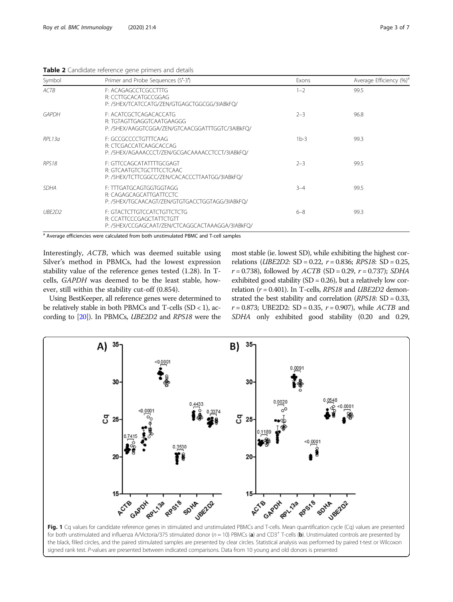<span id="page-2-0"></span>

| Symbol       | Primer and Probe Sequences (5'-3')                                                                         | Exons   | Average Efficiency (%) <sup>a</sup> |
|--------------|------------------------------------------------------------------------------------------------------------|---------|-------------------------------------|
| ACTB         | F: ACAGAGCCTCGCCTTG<br>R: CCTTGCACATGCCGGAG<br>P:/5HEX/TCATCCATG/ZEN/GTGAGCTGGCGG/3IABkFO/                 | $1 - 2$ | 99.5                                |
| <b>GAPDH</b> | F: ACATCGCTCAGACACCATG<br>R: TGTAGTTGAGGTCAATGAAGGG<br>P:/5HEX/AAGGTCGGA/ZEN/GTCAACGGATTTGGTC/3AIBkFO/     | $2 - 3$ | 96.8                                |
| RPI 13a      | F: GCCGCCCCTGTTTCAAG<br>R: CTCGACCATCAAGCACCAG<br>P:/5HEX/AGAAACCCT/ZEN/GCGACAAAACCTCCT/3IABkFO/           | $1b-3$  | 99.3                                |
| RPS18        | F: GTTCCAGCATATTTTGCGAGT<br>R: GTCAATGTCTGCTTTCCTCAAC<br>P:/5HEX/TCTTCGGCC/ZEN/CACACCCTTAATGG/3IABkFQ/     | $2 - 3$ | 99.5                                |
| <b>SDHA</b>  | F: TTTGATGCAGTGGTGGTAGG<br>R: CAGAGCAGCATTGATTCCTC<br>P:/5HEX/TGCAACAGT/ZEN/GTGTGACCTGGTAGG/3IABkFQ/       | $3 - 4$ | 99.5                                |
| UBF2D2       | F: GTACTCTTGTCCATCTGTTCTCTG<br>R: CCATTCCCGAGCTATTCTGTT<br>P:/5HEX/CCGAGCAAT/ZEN/CTCAGGCACTAAAGGA/3IABkFO/ | $6 - 8$ | 99.3                                |

<sup>a</sup> Average efficiencies were calculated from both unstimulated PBMC and T-cell samples

Interestingly, ACTB, which was deemed suitable using Silver's method in PBMCs, had the lowest expression stability value of the reference genes tested (1.28). In Tcells, GAPDH was deemed to be the least stable, however, still within the stability cut-off (0.854).

Using BestKeeper, all reference genes were determined to be relatively stable in both PBMCs and T-cells  $(SD < 1)$ , according to [\[20\]](#page-5-0)). In PBMCs, UBE2D2 and RPS18 were the

most stable (ie. lowest SD), while exhibiting the highest correlations (*UBE2D2*: SD = 0.22,  $r = 0.836$ ; *RPS18*: SD = 0.25,  $r = 0.738$ ), followed by  $ACTB$  (SD = 0.29,  $r = 0.737$ ); SDHA exhibited good stability  $(SD = 0.26)$ , but a relatively low correlation ( $r = 0.401$ ). In T-cells, RPS18 and UBE2D2 demonstrated the best stability and correlation (RPS18: SD = 0.33,  $r = 0.873$ ; UBE2D2: SD = 0.35,  $r = 0.907$ ), while ACTB and SDHA only exhibited good stability (0.20 and 0.29,



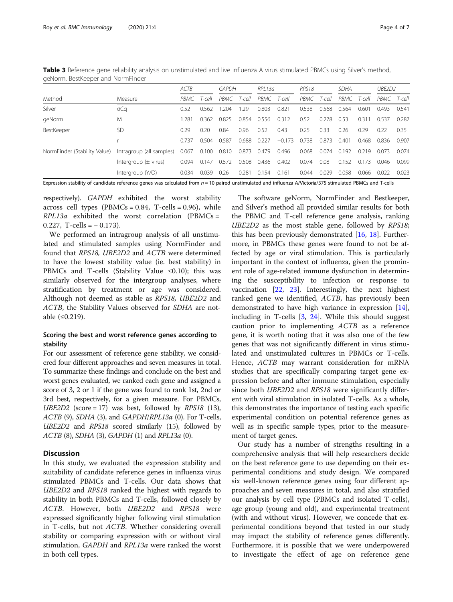<span id="page-3-0"></span>Table 3 Reference gene reliability analysis on unstimulated and live influenza A virus stimulated PBMCs using Silver's method, geNorm, BestKeeper and NormFinder

|                              |                          | ACTB  |        | <b>GAPDH</b> |        | RPI 13a |          | RPS <sub>18</sub> |        | <b>SDHA</b> |        | UBE2D2 |        |
|------------------------------|--------------------------|-------|--------|--------------|--------|---------|----------|-------------------|--------|-------------|--------|--------|--------|
| Method                       | Measure                  | PBMC  | T-cell | PBMC         | T-cell | PBMC    | T-cell   | PBMC              | T-cell | PBMC        | T-cell | PBMC   | T-cell |
| Silver                       | σCα                      | 0.52  | 0562   | 204          | .29    | 0.803   | 0.821    | 0.538             | 0.568  | 0.564       | 0.601  | 0.493  | 0.541  |
| geNorm                       | M                        | .281  | 0.362  | 0.825        | 0.854  | 0.556   | 0.312    | 0.52              | 0.278  | 0.53        | 0.311  | 0.537  | 0.287  |
| BestKeeper                   | SD                       | 0.29  | 0.20   | 0.84         | 0.96   | 0.52    | 0.43     | 0.25              | 0.33   | 0.26        | 0.29   | 0.22   | 0.35   |
|                              |                          | 0.737 | 0.504  | 0.587        | 0.688  | 0.227   | $-0.173$ | 0.738             | 0.873  | 0.401       | 0.468  | 0.836  | 0.907  |
| NormFinder (Stability Value) | Intragroup (all samples) | 0.067 | 0.100  | 0.810        | 0.873  | 0.479   | 0.496    | 0.068             | 0.074  | 0.192       | 0.219  | 0.073  | 0.074  |
|                              | Intergroup $(\pm$ virus) | 0.094 | 0.147  | 0.572        | 0.508  | 0.436   | 0.402    | 0.074             | 0.08   | 0.152       | 0.173  | 0.046  | 0.099  |
|                              | Intergroup (Y/O)         | 0.034 | 0039   | 0.26         | 0.281  | 0.154   | 0.161    | 0.044             | 0.029  | 0.058       | 0.066  | 0022   | 0.023  |

Expression stability of candidate reference genes was calculated from  $n = 10$  paired unstimulated and influenza A/Victoria/375 stimulated PBMCs and T-cells

respectively). GAPDH exhibited the worst stability across cell types (PBMCs =  $0.84$ , T-cells =  $0.96$ ), while  $RPL13a$  exhibited the worst correlation (PBMCs = 0.227, T-cells =  $-$  0.173).

We performed an intragroup analysis of all unstimulated and stimulated samples using NormFinder and found that RPS18, UBE2D2 and ACTB were determined to have the lowest stability value (ie. best stability) in PBMCs and T-cells (Stability Value ≤0.10); this was similarly observed for the intergroup analyses, where stratification by treatment or age was considered. Although not deemed as stable as RPS18, UBE2D2 and ACTB, the Stability Values observed for SDHA are notable (≤0.219).

# Scoring the best and worst reference genes according to stability

For our assessment of reference gene stability, we considered four different approaches and seven measures in total. To summarize these findings and conclude on the best and worst genes evaluated, we ranked each gene and assigned a score of 3, 2 or 1 if the gene was found to rank 1st, 2nd or 3rd best, respectively, for a given measure. For PBMCs,  $UBE2D2$  (score = 17) was best, followed by RPS18 (13), ACTB (9), SDHA (3), and GAPDH/RPL13a (0). For T-cells, UBE2D2 and RPS18 scored similarly (15), followed by ACTB (8), SDHA (3), GAPDH (1) and RPL13a (0).

# **Discussion**

In this study, we evaluated the expression stability and suitability of candidate reference genes in influenza virus stimulated PBMCs and T-cells. Our data shows that UBE2D2 and RPS18 ranked the highest with regards to stability in both PBMCs and T-cells, followed closely by ACTB. However, both UBE2D2 and RPS18 were expressed significantly higher following viral stimulation in T-cells, but not ACTB. Whether considering overall stability or comparing expression with or without viral stimulation, GAPDH and RPL13a were ranked the worst in both cell types.

The software geNorm, NormFinder and Bestkeeper, and Silver's method all provided similar results for both the PBMC and T-cell reference gene analysis, ranking UBE2D2 as the most stable gene, followed by RPS18; this has been previously demonstrated  $[16, 18]$  $[16, 18]$  $[16, 18]$ . Furthermore, in PBMCs these genes were found to not be affected by age or viral stimulation. This is particularly important in the context of influenza, given the prominent role of age-related immune dysfunction in determining the susceptibility to infection or response to vaccination [[22](#page-5-0), [23\]](#page-5-0). Interestingly, the next highest ranked gene we identified, ACTB, has previously been demonstrated to have high variance in expression [\[14](#page-5-0)], including in T-cells [[3,](#page-5-0) [24\]](#page-5-0). While this should suggest caution prior to implementing ACTB as a reference gene, it is worth noting that it was also one of the few genes that was not significantly different in virus stimulated and unstimulated cultures in PBMCs or T-cells. Hence, ACTB may warrant consideration for mRNA studies that are specifically comparing target gene expression before and after immune stimulation, especially since both *UBE2D2* and *RPS18* were significantly different with viral stimulation in isolated T-cells. As a whole, this demonstrates the importance of testing each specific experimental condition on potential reference genes as well as in specific sample types, prior to the measurement of target genes.

Our study has a number of strengths resulting in a comprehensive analysis that will help researchers decide on the best reference gene to use depending on their experimental conditions and study design. We compared six well-known reference genes using four different approaches and seven measures in total, and also stratified our analysis by cell type (PBMCs and isolated T-cells), age group (young and old), and experimental treatment (with and without virus). However, we concede that experimental conditions beyond that tested in our study may impact the stability of reference genes differently. Furthermore, it is possible that we were underpowered to investigate the effect of age on reference gene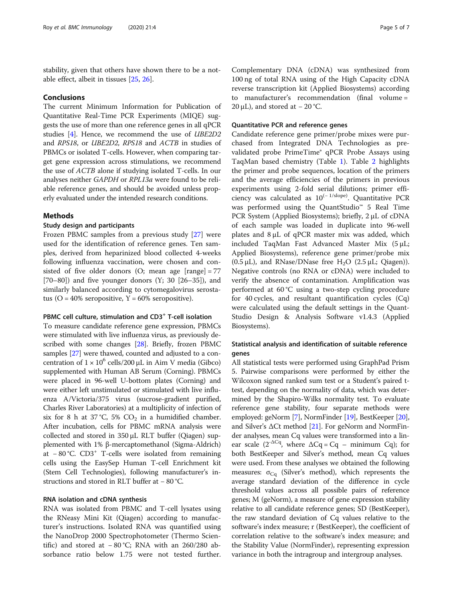stability, given that others have shown there to be a notable effect, albeit in tissues [\[25](#page-5-0), [26\]](#page-6-0).

# Conclusions

The current Minimum Information for Publication of Quantitative Real-Time PCR Experiments (MIQE) suggests the use of more than one reference genes in all qPCR studies [\[4\]](#page-5-0). Hence, we recommend the use of UBE2D2 and RPS18, or UBE2D2, RPS18 and ACTB in studies of PBMCs or isolated T-cells. However, when comparing target gene expression across stimulations, we recommend the use of ACTB alone if studying isolated T-cells. In our analyses neither GAPDH or RPL13a were found to be reliable reference genes, and should be avoided unless properly evaluated under the intended research conditions.

# Methods

# Study design and participants

Frozen PBMC samples from a previous study [\[27](#page-6-0)] were used for the identification of reference genes. Ten samples, derived from heparinized blood collected 4-weeks following influenza vaccination, were chosen and consisted of five older donors  $(O;$  mean age  $[range] = 77$  $[70–80]$  and five younger donors  $(Y; 30 [26–35])$ , and similarly balanced according to cytomegalovirus serostatus (O =  $40\%$  seropositive, Y =  $60\%$  seropositive).

# PBMC cell culture, stimulation and CD3<sup>+</sup> T-cell isolation

To measure candidate reference gene expression, PBMCs were stimulated with live influenza virus, as previously described with some changes [\[28\]](#page-6-0). Briefly, frozen PBMC samples [\[27\]](#page-6-0) were thawed, counted and adjusted to a concentration of  $1 \times 10^6$  cells/200 μL in Aim V media (Gibco) supplemented with Human AB Serum (Corning). PBMCs were placed in 96-well U-bottom plates (Corning) and were either left unstimulated or stimulated with live influenza A/Victoria/375 virus (sucrose-gradient purified, Charles River Laboratories) at a multiplicity of infection of six for 8 h at 37 °C, 5%  $CO<sub>2</sub>$  in a humidified chamber. After incubation, cells for PBMC mRNA analysis were collected and stored in 350 μL RLT buffer (Qiagen) supplemented with 1% β-mercaptomethanol (Sigma-Aldrich) at − 80 °C. CD3+ T-cells were isolated from remaining cells using the EasySep Human T-cell Enrichment kit (Stem Cell Technologies), following manufacturer's instructions and stored in RLT buffer at − 80 °C.

# RNA isolation and cDNA synthesis

RNA was isolated from PBMC and T-cell lysates using the RNeasy Mini Kit (Qiagen) according to manufacturer's instructions. Isolated RNA was quantified using the NanoDrop 2000 Spectrophotometer (Thermo Scientific) and stored at  $-80$  °C; RNA with an 260/280 absorbance ratio below 1.75 were not tested further.

Complementary DNA (cDNA) was synthesized from 100 ng of total RNA using of the High Capacity cDNA reverse transcription kit (Applied Biosystems) according to manufacturer's recommendation (final volume = 20  $\mu$ L), and stored at – 20 °C.

# Quantitative PCR and reference genes

Candidate reference gene primer/probe mixes were purchased from Integrated DNA Technologies as prevalidated probe PrimeTime® qPCR Probe Assays using TaqMan based chemistry (Table [1\)](#page-1-0). Table [2](#page-2-0) highlights the primer and probe sequences, location of the primers and the average efficiencies of the primers in previous experiments using 2-fold serial dilutions; primer efficiency was calculated as 10(<sup>−</sup> 1/slope). Quantitative PCR was performed using the QuantStudio™ 5 Real Time PCR System (Applied Biosystems); briefly, 2 μL of cDNA of each sample was loaded in duplicate into 96-well plates and 8 μL of qPCR master mix was added, which included TaqMan Fast Advanced Master Mix (5 μL; Applied Biosystems), reference gene primer/probe mix (0.5  $\mu$ L), and RNase/DNase free H<sub>2</sub>O (2.5  $\mu$ L; Qiagen)). Negative controls (no RNA or cDNA) were included to verify the absence of contamination. Amplification was performed at 60 °C using a two-step cycling procedure for 40 cycles, and resultant quantification cycles  $(Cq)$ were calculated using the default settings in the Quant-Studio Design & Analysis Software v1.4.3 (Applied Biosystems).

# Statistical analysis and identification of suitable reference genes

All statistical tests were performed using GraphPad Prism 5. Pairwise comparisons were performed by either the Wilcoxon signed ranked sum test or a Student's paired ttest, depending on the normality of data, which was determined by the Shapiro-Wilks normality test. To evaluate reference gene stability, four separate methods were employed: geNorm [\[7\]](#page-5-0), NormFinder [\[19](#page-5-0)], BestKeeper [[20](#page-5-0)], and Silver's ΔCt method [[21](#page-5-0)]. For geNorm and NormFinder analyses, mean Cq values were transformed into a linear scale ( $2^{-\Delta C q}$ , where  $\Delta C q = C q$  – minimum Cq); for both BestKeeper and Silver's method, mean Cq values were used. From these analyses we obtained the following measures:  $\sigma_{Cq}$  (Silver's method), which represents the average standard deviation of the difference in cycle threshold values across all possible pairs of reference genes; M (geNorm), a measure of gene expression stability relative to all candidate reference genes; SD (BestKeeper), the raw standard deviation of Cq values relative to the software's index measure; r (BestKeeper), the coefficient of correlation relative to the software's index measure; and the Stability Value (NormFinder), representing expression variance in both the intragroup and intergroup analyses.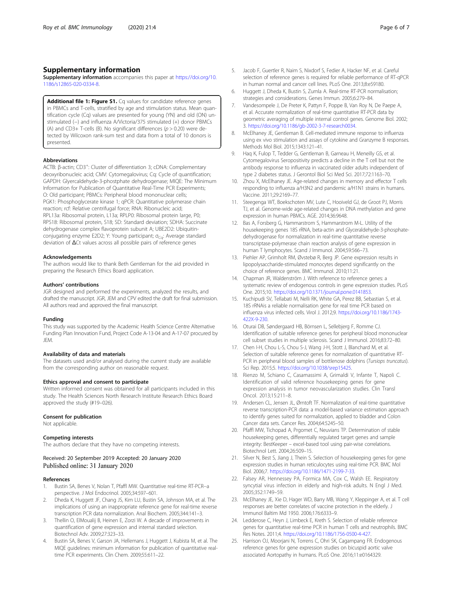# <span id="page-5-0"></span>Supplementary information

Supplementary information accompanies this paper at [https://doi.org/10.](https://doi.org/10.1186/s12865-020-0334-8) [1186/s12865-020-0334-8.](https://doi.org/10.1186/s12865-020-0334-8)

Additional file 1: Figure S1. Cq values for candidate reference genes in PBMCs and T-cells, stratified by age and stimulation status. Mean quantification cycle (Cq) values are presented for young (YN) and old (ON) unstimulated (−) and influenza A/Victoria/375 stimulated (+) donor PBMCs (A) and CD3+ T-cells (B). No significant differences ( $p > 0.20$ ) were detected by Wilcoxon rank-sum test and data from a total of 10 donors is presented.

# Abbreviations

ACTB: β-actin; CD3<sup>+</sup>: Cluster of differentiation 3; cDNA: Complementary deoxyribonucleic acid; CMV: Cytomegalovirus; Cq: Cycle of quantification; GAPDH: Glyercaldehyde-3-phostphate dehydrogenase; MIQE: The Minimum Information for Publication of Quantitative Real-Time PCR Experiments; O: Old participant; PBMCs: Peripheral blood mononuclear cells; PGK1: Phosphoglycerate kinase 1; qPCR: Quantitative polymerase chain reaction; rcf: Relative centrifugal force; RNA: Ribonucleic acid; RPL13a: Ribosomal protein, L13a; RPLP0: Ribosomal protein large, P0; RPS18: Ribosomal protein, S18; SD: Standard deviation; SDHA: Succinate dehydrogenase complex flavoprotein subunit A; UBE2D2: Ubiquitinconjugating enzyme E2D2; Y: Young participant; σ<sub>Ca</sub>: Average standard deviation of ΔCt values across all possible pairs of reference genes

### Acknowledgements

The authors would like to thank Beth Gentleman for the aid provided in preparing the Research Ethics Board application.

### Authors' contributions

JGR designed and performed the experiments, analyzed the results, and drafted the manuscript. JGR, JEM and CPV edited the draft for final submission. All authors read and approved the final manuscript.

### Funding

This study was supported by the Academic Health Science Centre Alternative Funding Plan Innovation Fund, Project Code A-13-04 and A-17-07 procured by JEM.

# Availability of data and materials

The datasets used and/or analysed during the current study are available from the corresponding author on reasonable request.

# Ethics approval and consent to participate

Written informed consent was obtained for all participants included in this study. The Health Sciences North Research Institute Research Ethics Board approved the study (#19–026).

#### Consent for publication

Not applicable.

# Competing interests

The authors declare that they have no competing interests.

# Received: 20 September 2019 Accepted: 20 January 2020 Published online: 31 January 2020

# References

- 1. Bustin SA, Benes V, Nolan T, Pfaffl MW. Quantitative real-time RT-PCR--a perspective. J Mol Endocrinol. 2005;34:597–601.
- 2. Dheda K, Huggett JF, Chang JS, Kim LU, Bustin SA, Johnson MA, et al. The implications of using an inappropriate reference gene for real-time reverse transcription PCR data normalization. Anal Biochem. 2005;344:141–3.
- 3. Thellin O, ElMoualij B, Heinen E, Zorzi W. A decade of improvements in quantification of gene expression and internal standard selection. Biotechnol Adv. 2009;27:323–33.
- Bustin SA, Benes V, Garson JA, Hellemans J, Huggett J, Kubista M, et al. The MIQE guidelines: minimum information for publication of quantitative realtime PCR experiments. Clin Chem. 2009;55:611–22.
- 5. Jacob F, Guertler R, Naim S, Nixdorf S, Fedier A, Hacker NF, et al. Careful selection of reference genes is required for reliable performance of RT-qPCR in human normal and cancer cell lines. PLoS One. 2013;8:e59180.
- 6. Huggett J, Dheda K, Bustin S, Zumla A. Real-time RT-PCR normalisation; strategies and considerations. Genes Immun. 2005;6:279–84.
- 7. Vandesompele J, De Preter K, Pattyn F, Poppe B, Van Roy N, De Paepe A, et al. Accurate normalization of real-time quantitative RT-PCR data by geometric averaging of multiple internal control genes. Genome Biol. 2002; 3. <https://doi.org/10.1186/gb-2002-3-7-research0034>.
- 8. McElhaney JE, Gentleman B. Cell-mediated immune response to influenza using ex vivo stimulation and assays of cytokine and Granzyme B responses. Methods Mol Biol. 2015;1343:121–41.
- 9. Haq K, Fulop T, Tedder G, Gentleman B, Garneau H, Meneilly GS, et al. Cytomegalovirus Seropositivity predicts a decline in the T cell but not the antibody response to influenza in vaccinated older adults independent of type 2 diabetes status. J Gerontol Biol Sci Med Sci. 2017;72:1163–70.
- 10. Zhou X, McElhaney JE. Age-related changes in memory and effector T cells responding to influenza a/H3N2 and pandemic a/H1N1 strains in humans. Vaccine. 2011;29:2169–77.
- 11. Steegenga WT, Boekschoten MV, Lute C, Hooiveld GJ, de Groot PJ, Morris TJ, et al. Genome-wide age-related changes in DNA methylation and gene expression in human PBMCs. AGE. 2014;36:9648.
- 12. Bas A, Forsberg G, Hammarstrom S, Hammarstrom M-L. Utility of the housekeeping genes 18S rRNA, beta-actin and Glyceraldehyde-3-phosphatedehydrogenase for normalization in real-time quantitative reverse transcriptase-polymerase chain reaction analysis of gene expression in human T lymphocytes. Scand J Immunol. 2004;59:566–73.
- 13. Piehler AP, Grimholt RM, Øvstebø R, Berg JP. Gene expression results in lipopolysaccharide-stimulated monocytes depend significantly on the choice of reference genes. BMC Immunol. 2010;11:21.
- 14. Chapman JR, Waldenström J. With reference to reference genes: a systematic review of endogenous controls in gene expression studies. PLoS One. 2015;10. [https://doi.org/10.1371/journal.pone.0141853.](https://doi.org/10.1371/journal.pone.0141853)
- 15. Kuchipudi SV, Tellabati M, Nelli RK, White GA, Perez BB, Sebastian S, et al. 18S rRNAis a reliable normalisation gene for real time PCR based on influenza virus infected cells. Virol J. 2012;9. [https://doi.org/10.1186/1743-](https://doi.org/10.1186/1743-422X-9-230) [422X-9-230.](https://doi.org/10.1186/1743-422X-9-230)
- 16. Oturai DB, Søndergaard HB, Börnsen L, Sellebjerg F, Romme CJ. Identification of suitable reference genes for peripheral blood mononuclear cell subset studies in multiple sclerosis. Scand J Immunol. 2016;83:72–80.
- 17. Chen I-H, Chou L-S, Chou S-J, Wang J-H, Stott J, Blanchard M, et al. Selection of suitable reference genes for normalization of quantitative RT-PCR in peripheral blood samples of bottlenose dolphins (Tursiops truncatus). Sci Rep. 2015;5. [https://doi.org/10.1038/srep15425.](https://doi.org/10.1038/srep15425)
- 18. Rienzo M, Schiano C, Casamassimi A, Grimaldi V, Infante T, Napoli C. Identification of valid reference housekeeping genes for gene expression analysis in tumor neovascularization studies. Clin Transl Oncol. 2013;15:211–8.
- 19. Andersen CL, Jensen JL, Ørntoft TF. Normalization of real-time quantitative reverse transcription-PCR data: a model-based variance estimation approach to identify genes suited for normalization, applied to bladder and Colon Cancer data sets. Cancer Res. 2004;64:5245–50.
- 20. Pfaffl MW, Tichopad A, Prgomet C, Neuvians TP. Determination of stable housekeeping genes, differentially regulated target genes and sample integrity: BestKeeper – excel-based tool using pair-wise correlations. Biotechnol Lett. 2004;26:509–15.
- 21. Silver N, Best S, Jiang J, Thein S. Selection of housekeeping genes for gene expression studies in human reticulocytes using real-time PCR. BMC Mol Biol. 2006;7. [https://doi.org/10.1186/1471-2199-7-33.](https://doi.org/10.1186/1471-2199-7-33)
- 22. Falsey AR, Hennessey PA, Formica MA, Cox C, Walsh EE. Respiratory syncytial virus infection in elderly and high-risk adults. N Engl J Med. 2005;352:1749–59.
- 23. McElhaney JE, Xie D, Hager WD, Barry MB, Wang Y, Kleppinger A, et al. T cell responses are better correlates of vaccine protection in the elderly. J Immunol Baltim Md 1950. 2006;176:6333–9.
- 24. Ledderose C, Heyn J, Limbeck E, Kreth S. Selection of reliable reference genes for quantitative real-time PCR in human T cells and neutrophils. BMC Res Notes. 2011;4. <https://doi.org/10.1186/1756-0500-4-427>.
- 25. Harrison OJ, Moorjani N, Torrens C, Ohri SK, Cagampang FR. Endogenous reference genes for gene expression studies on bicuspid aortic valve associated Aortopathy in humans. PLoS One. 2016;11:e0164329.